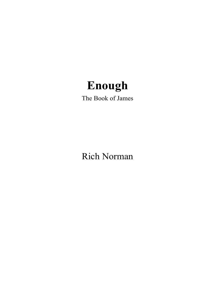**Enough** The Book of James

Rich Norman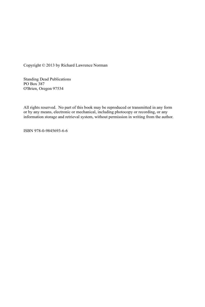Copyright © 2013 by Richard Lawrence Norman

Standing Dead Publications PO Box 387 O'Brien, Oregon 97534

All rights reserved. No part of this book may be reproduced or transmitted in any form or by any means, electronic or mechanical, including photocopy or recording, or any information storage and retrieval system, without permission in writing from the author.

ISBN 978-0-9845693-6-6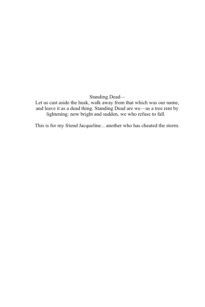# Standing Dead––

Let us cast aside the husk, walk away from that which was our name, and leave it as a dead thing. Standing Dead are we––as a tree rent by lightening: now bright and sudden, we who refuse to fall.

This is for my friend Jacqueline... another who has cheated the storm.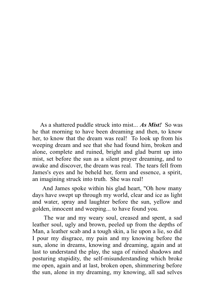As a shattered puddle struck into mist... *As Mist!* So was he that morning to have been dreaming and then, to know her, to know that the dream was real! To look up from his weeping dream and see that she had found him, broken and alone, complete and ruined, bright and glad burnt up into mist, set before the sun as a silent prayer dreaming, and to awake and discover, the dream was real. The tears fell from James's eyes and he beheld her, form and essence, a spirit, an imagining struck into truth. She was real!

 And James spoke within his glad heart, "Oh how many days have swept up through my world, clear and ice as light and water, spray and laughter before the sun, yellow and golden, innocent and weeping... to have found you.

 The war and my weary soul, creased and spent, a sad leather soul, ugly and brown, peeled up from the depths of Man, a leather scab and a tough skin, a lie upon a lie, so did I pour my disgrace, my pain and my knowing before the sun, alone in dreams, knowing and dreaming, again and at last to understand the play, the saga of ruined shadows and posturing stupidity, the self-misunderstanding which broke me open, again and at last, broken open, shimmering before the sun, alone in my dreaming, my knowing, all sad selves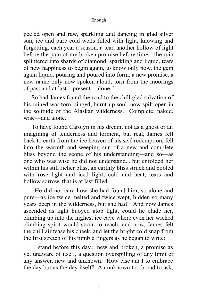peeled open and raw, sparkling and dancing in glad silver sun, ice and pure cold wells filled with light, knowing and forgetting, each year a season, a tear, another hollow of light before the pain of my broken promise before time––the ruin splintered into shards of diamond, sparkling and liquid, tears of new happiness to begin again, to know only now, the gem again liquid, pouring and poured into form, a new promise, a new name only now spoken aloud, torn from the moorings of past and at last––present... alone."

 So had James found the road to the chill glad salvation of his ruined war-torn, singed, burnt-up soul, now spilt open in the solitude of the Alaskan wilderness. Complete, naked, wise––and alone.

 To have found Carolyn in his dream, not as a ghost or an imagining of tenderness and torment, but real, James fell back to earth from the ice heaven of his self-redemption, fell into the warmth and weeping sun of a new and complete bliss beyond the scope of his understanding––and so––as one who was wise he did not understand... but enfolded her within his still richer bliss, an earthly bliss struck and pooled with rose light and iced light, cold and heat, tears and hollow sorrow, that is at last filled.

 He did not care how she had found him, so alone and pure––as ice twice melted and twice wept, hidden so many years deep in the wilderness, but she had! And now James ascended as light buoyed atop light, could he elude her, climbing up into the highest ice cave where even her wicked climbing spirit would strain to reach, and now, James felt the chill air tease his cheek, and let the bright cold snap from the first stretch of his nimble fingers as he began to write:

 I stand before this day... new and broken, a promise as yet unaware of itself, a question overspilling of any limit or any answer, new and unknown. How else am I to embrace the day but as the day itself? An unknown too broad to ask,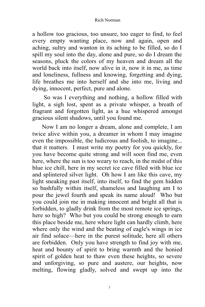a hollow too gracious, too unsure, too eager to find, to feel every empty wanting place, now and again, open and aching, sultry and wanton in its aching to be filled, so do I spill my soul into the day, alone and pure, so do I dream the seasons, pluck the colors of my heaven and dream all the world back into itself, now alive in it, now it in me, as time and loneliness, fullness and knowing, forgetting and dying, life breathes me into herself and she into me, living and dying, innocent, perfect, pure and alone.

 So was I everything and nothing, a hollow filled with light, a sigh lost, spent as a private whisper, a breath of fragrant and forgotten light, as a hue whispered amongst gracious silent shadows, until you found me.

 Now I am no longer a dream, alone and complete, I am twice alive within you, a dreamer in whom I may imagine even the impossible, the ludicrous and foolish, to imagine... that it matters. I must write my poetry for you quickly, for you have become quite strong and will soon find me, even here, where the sun is too weary to reach, in the midst of this blue ice chill, here in my secret ice cave filled with blue ice and splintered silver light. Oh how I am like this cave, my light sneaking past itself, into itself, to find the gem hidden so bashfully within itself, shameless and laughing am I to pour the jewel fourth and speak its name aloud! Who but you could join me in making innocent and bright all that is forbidden, to gladly drink from the most remote ice springs, here so high? Who but you could be strong enough to earn this place beside me, here where light can hardly climb, here where only the wind and the beating of eagle's wings in ice air find solace––here in the purest solitude, here all others are forbidden. Only you have strength to find joy with me, heat and bounty of spirit to bring warmth and the honied spirit of golden heat to thaw even these heights, so severe and unforgiving, so pure and austere, our heights, now melting, flowing gladly, solved and swept up into the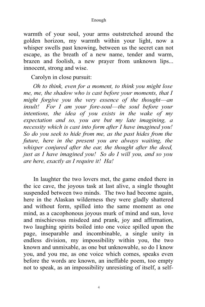warmth of your soul, your arms outstretched around the golden horizon, my warmth within your light, now a whisper swells past knowing, between us the secret can not escape, as the breath of a new name, tender and warm, brazen and foolish, a new prayer from unknown lips... innocent, strong and wise.

Carolyn in close pursuit:

 *Oh to think, even for a moment, to think you might lose me, me, the shadow who is cast before your moments, that I might forgive you the very essence of the thought––an insult! For I am your fore-soul––the soul before your intentions, the idea of you exists in the wake of my expectation and so, you are but my late imagining, a necessity which is cast into form after I have imagined you! So do you seek to hide from me, as the past hides from the future, here in the present you are always waiting, the whisper conjured after the ear, the thought after the deed, just as I have imagined you! So do I will you, and so you are here, exactly as I require it! Ha!*

In laughter the two lovers met, the game ended there in the ice cave, the joyous task at last alive, a single thought suspended between two minds. The two had become again, here in the Alaskan wilderness they were gladly shattered and without form, spilled into the same moment as one mind, as a cacophonous joyous murk of mind and sun, love and mischievous misdeed and prank, joy and affirmation, two laughing spirits boiled into one voice spilled upon the page, inseparable and incombinable, a single unity in endless division, my impossibility within you, the two known and unmixable, as one but unknowable, so do I know you, and you me, as one voice which comes, speaks even before the words are known, an ineffable poem, too empty not to speak, as an impossibility unresisting of itself, a self-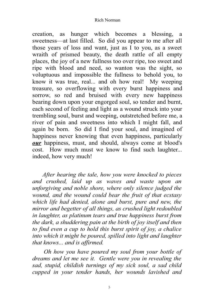creation, as hunger which becomes a blessing, a sweetness––at last filled. So did you appear to me after all those years of loss and want, just as I to you, as a sweet wraith of prismed beauty, the death rattle of all empty places, the joy of a new fullness too over ripe, too sweet and ripe with blood and need, so wanton was the sight, so voluptuous and impossible the fullness to behold you, to know it was true, real... and oh how real! My weeping treasure, so overflowing with every burst happiness and sorrow, so red and bruised with every new happiness bearing down upon your engorged soul, so tender and burnt, each second of feeling and light as a wound struck into your trembling soul, burst and weeping, outstretched before me, a river of pain and sweetness into which I might fall, and again be born. So did I find your soul, and imagined of happiness never knowing that even happiness, particularly *our* happiness, must, and should, always come at blood's cost. How much must we know to find such laughter... indeed, how very much!

 *After hearing the tale, how you were knocked to pieces and crushed, laid up as waves and waste upon an unforgiving and noble shore, where only silence judged the wound, and the wound could bear the fruit of that ecstasy which life had denied, alone and burst, pure and new, the mirror and begetter of all things, as crushed light redoubled in laughter, as platinum tears and true happiness burst from the dark, a shuddering pain at the birth of joy itself and then to find even a cup to hold this burst spirit of joy, a chalice into which it might be poured, spilled into light and laughter that knows... and is affirmed.* 

 *Oh how you have poured my soul from your bottle of dreams and let me see it. Gentle were you in revealing the sad, stupid, childish turnings of my sick soul, a sad child cupped in your tender hands, her wounds lavished and* 

5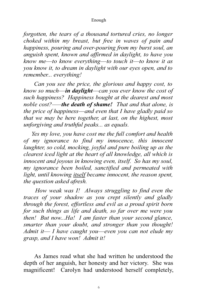*forgotten, the tears of a thousand tortured cries, no longer choked within my breast, but free in waves of pain and happiness, pouring and over-pouring from my burst soul, an anguish spent, known and affirmed in daylight, to have you know me––to know everything––to touch it––to know it as you know it, to dream in daylight with our eyes open, and to remember... everything!*

 *Can you see the price, the glorious and happy cost, to know so much––in daylight––can you ever know the cost of such happiness? Happiness bought at the dearest and most noble cost?–––the death of shame! That and that alone, is the price of happiness––and even that I have gladly paid so that we may be here together, at last, on the highest, most unforgiving and truthful peaks... as equals.*

 *Yes my love, you have cost me the full comfort and health of my ignorance to find my innocence, this innocent laughter, so cold, mocking, joyful and pure boiling up as the clearest iced light at the heart of all knowledge, all which is innocent and joyous in knowing even, itself. So has my soul, my ignorance been boiled, sanctified and permeated with light, until knowing itself became innocent, the reason spent, the question asked afresh.* 

 *How weak was I! Always struggling to find even the traces of your shadow as you crept silently and gladly through the forest, effortless and evil as a proud spirit born for such things as life and death, so far over me were you then! But now...Ha! I am faster than your second glance, smarter than your doubt, and stronger than you thought! Admit it–– I have caught you––even you can not elude my grasp, and I have won! Admit it!*

 As James read what she had written he understood the depth of her anguish, her honesty and her victory. She was magnificent! Carolyn had understood herself completely,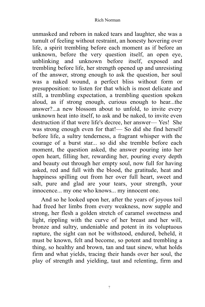unmasked and reborn in naked tears and laughter, she was a tumult of feeling without restraint, an honesty hovering over life, a spirit trembling before each moment as if before an unknown, before the very question itself, an open eye, unblinking and unknown before itself, exposed and trembling before life, her strength opened up and unresisting of the answer, strong enough to ask the question, her soul was a naked wound, a perfect bliss without form or presupposition: to listen for that which is most delicate and still, a trembling expectation, a trembling question spoken aloud, as if strong enough, curious enough to hear...the answer?...a new blossom about to unfold, to invite every unknown heat into itself, to ask and be naked, to invite even destruction if that were life's decree, her answer—Yes! She was strong enough even for that!— So did she find herself before life, a sultry tenderness, a fragrant whisper with the courage of a burst star... so did she tremble before each moment, the question asked, the answer pouring into her open heart, filling her, rewarding her, pouring every depth and beauty out through her empty soul, now full for having asked, red and full with the blood, the gratitude, heat and happiness spilling out from her over full heart, sweet and salt, pure and glad are your tears, your strength, your innocence... my one who knows... my innocent one.

 And so he looked upon her, after the years of joyous toil had freed her limbs from every weakness, now supple and strong, her flesh a golden stretch of caramel sweetness and light, rippling with the curve of her breast and her will, bronze and sultry, undeniable and potent in its voluptuous rapture, the sight can not be withstood, endured, beheld, it must be known, felt and become, so potent and trembling a thing, so healthy and brown, tan and taut sinew, what holds firm and what yields, tracing their hands over her soul, the play of strength and yielding, taut and relenting, firm and

7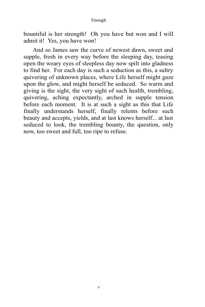bountiful is her strength! Oh you have but won and I will admit it! Yes, you have won!

 And so James saw the curve of newest dawn, sweet and supple, fresh in every way before the sleeping day, teasing open the weary eyes of sleepless day now spilt into gladness to find her. For each day is such a seduction as this, a sultry quivering of unknown places, where Life herself might gaze upon the glow, and might herself be seduced. So warm and giving is the sight, the very sight of such health, trembling, quivering, aching expectantly, arched in supple tension before each moment. It is at such a sight as this that Life finally understands herself, finally relents before such beauty and accepts, yields, and at last knows herself... at last seduced to look, the trembling bounty, the question, only now, too sweet and full, too ripe to refuse.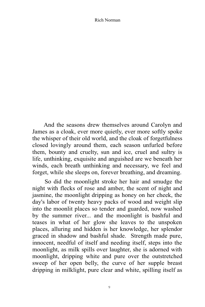And the seasons drew themselves around Carolyn and James as a cloak, ever more quietly, ever more softly spoke the whisper of their old world, and the cloak of forgetfulness closed lovingly around them, each season unfurled before them, bounty and cruelty, sun and ice, cruel and sultry is life, unthinking, exquisite and anguished are we beneath her winds, each breath unthinking and necessary, we feel and forget, while she sleeps on, forever breathing, and dreaming.

 So did the moonlight stroke her hair and smudge the night with flecks of rose and amber, the scent of night and jasmine, the moonlight dripping as honey on her cheek, the day's labor of twenty heavy packs of wood and weight slip into the moonlit places so tender and guarded, now washed by the summer river... and the moonlight is bashful and teases in what of her glow she leaves to the unspoken places, alluring and hidden is her knowledge, her splendor graced in shadow and bashful shade. Strength made pure, innocent, needful of itself and needing itself, steps into the moonlight, as milk spills over laughter, she is adorned with moonlight, dripping white and pure over the outstretched sweep of her open belly, the curve of her supple breast dripping in milklight, pure clear and white, spilling itself as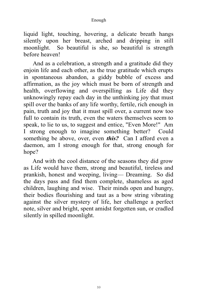liquid light, touching, hovering, a delicate breath hangs silently upon her breast, arched and dripping in still moonlight. So beautiful is she, so beautiful is strength before heaven!

 And as a celebration, a strength and a gratitude did they enjoin life and each other, as the true gratitude which erupts in spontaneous abandon, a giddy bubble of excess and affirmation, as the joy which must be born of strength and health, overflowing and overspilling as Life did they unknowingly repay each day in the unthinking joy that must spill over the banks of any life worthy, fertile, rich enough in pain, truth and joy that it must spill over, a current now too full to contain its truth, even the waters themselves seem to speak, to lie to us, to suggest and entice, "Even More!" Am I strong enough to imagine something better? Could something be above, over, even *this?* Can I afford even a daemon, am I strong enough for that, strong enough for hope?

 And with the cool distance of the seasons they did grow as Life would have them, strong and beautiful, tireless and prankish, honest and weeping, living–– Dreaming. So did the days pass and find them complete, shameless as aged children, laughing and wise. Their minds open and hungry, their bodies flourishing and taut as a bow string vibrating against the silver mystery of life, her challenge a perfect note, silver and bright, spent amidst forgotten sun, or cradled silently in spilled moonlight.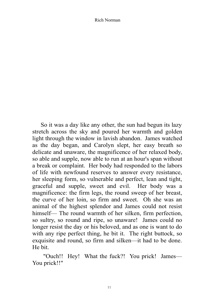So it was a day like any other, the sun had begun its lazy stretch across the sky and poured her warmth and golden light through the window in lavish abandon. James watched as the day began, and Carolyn slept, her easy breath so delicate and unaware, the magnificence of her relaxed body, so able and supple, now able to run at an hour's span without a break or complaint. Her body had responded to the labors of life with newfound reserves to answer every resistance, her sleeping form, so vulnerable and perfect, lean and tight, graceful and supple, sweet and evil. Her body was a magnificence: the firm legs, the round sweep of her breast, the curve of her loin, so firm and sweet. Oh she was an animal of the highest splendor and James could not resist himself— The round warmth of her silken, firm perfection, so sultry, so round and ripe, so unaware! James could no longer resist the day or his beloved, and as one is want to do with any ripe perfect thing, he bit it. The right buttock, so exquisite and round, so firm and silken––it had to be done. He bit.

"Ouch!! Hey! What the fuck?! You prick! James— You prick!!"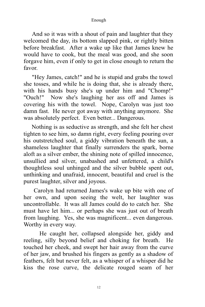And so it was with a shout of pain and laughter that they welcomed the day, its bottom slapped pink, or rightly bitten before breakfast. After a wake up like that James knew he would have to cook, but the meal was good, and she soon forgave him, even if only to get in close enough to return the favor.

 "Hey James, catch!" and he is stupid and grabs the towel she tosses, and while he is doing that, she is already there, with his hands busy she's up under him and "Chomp!" "Ouch!" Now she's laughing her ass off and James is covering his with the towel. Nope, Carolyn was just too damn fast. He never got away with anything anymore. She was absolutely perfect. Even better... Dangerous.

 Nothing is as seductive as strength, and she felt her chest tighten to see him, so damn right, every feeling pouring over his outstretched soul, a giddy vibration beneath the sun, a shameless laughter that finally surrenders the spark, borne aloft as a silver ember, the shining note of spilled innocence, unsullied and silver, unabashed and unfettered, a child's thoughtless soul unhinged and the silver bubble spent out, unthinking and unafraid, innocent, beautiful and cruel is the purest laughter, silver and joyous.

 Carolyn had returned James's wake up bite with one of her own, and upon seeing the welt, her laughter was uncontrollable. It was all James could do to catch her. She must have let him... or perhaps she was just out of breath from laughing. Yes, she was magnificent... even dangerous. Worthy in every way.

 He caught her, collapsed alongside her, giddy and reeling, silly beyond belief and choking for breath. He touched her cheek, and swept her hair away from the curve of her jaw, and brushed his fingers as gently as a shadow of feathers, felt but never felt, as a whisper of a whisper did he kiss the rose curve, the delicate rouged seam of her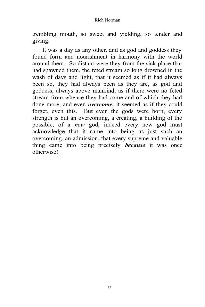trembling mouth, so sweet and yielding, so tender and giving.

 It was a day as any other, and as god and goddess they found form and nourishment in harmony with the world around them. So distant were they from the sick place that had spawned them, the feted stream so long drowned in the wash of days and light, that it seemed as if it had always been so, they had always been as they are, as god and goddess, always above mankind, as if there were no feted stream from whence they had come and of which they had done more, and even *overcome,* it seemed as if they could forget, even this. But even the gods were born, every strength is but an overcoming, a creating, a building of the possible, of a *new* god, indeed every new god must acknowledge that it came into being as just such an overcoming, an admission, that every supreme and valuable thing came into being precisely *because* it was once otherwise!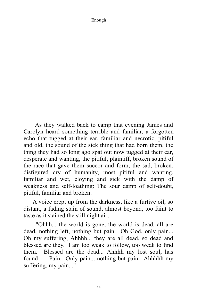As they walked back to camp that evening James and Carolyn heard something terrible and familiar, a forgotten echo that tugged at their ear, familiar and necrotic, pitiful and old, the sound of the sick thing that had born them, the thing they had so long ago spat out now tugged at their ear, desperate and wanting, the pitiful, plaintiff, broken sound of the race that gave them succor and form, the sad, broken, disfigured cry of humanity, most pitiful and wanting, familiar and wet, cloying and sick with the damp of weakness and self-loathing: The sour damp of self-doubt, pitiful, familiar and broken.

 A voice crept up from the darkness, like a furtive oil, so distant, a fading stain of sound, almost beyond, too faint to taste as it stained the still night air,

 "Ohhh... the world is gone, the world is dead, all are dead, nothing left, nothing but pain. Oh God, only pain... Oh my suffering, Ahhhh... they are all dead, so dead and blessed are they. I am too weak to follow, too weak to find them. Blessed are the dead... Ahhhh my lost soul, has found—– Pain. Only pain... nothing but pain. Ahhhhh my suffering, my pain..."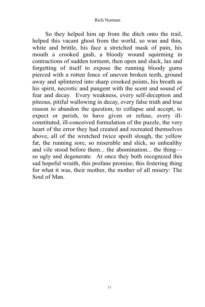So they helped him up from the ditch onto the trail, helped this vacant ghost from the world, so wan and thin, white and brittle, his face a stretched mask of pain, his mouth a crooked gash, a bloody wound squirming in contractions of sudden torment, then open and slack, lax and forgetting of itself to expose the running bloody gums pierced with a rotten fence of uneven broken teeth, ground away and splintered into sharp crooked points, his breath as his spirit, necrotic and pungent with the scent and sound of fear and decay. Every weakness, every self-deception and piteous, pitiful wallowing in decay, every false truth and true reason to abandon the question, to collapse and accept, to expect or perish, to have given or refuse, every illconstituted, ill-conceived formulation of the puzzle, the very heart of the error they had created and recreated themselves above, all of the wretched twice spoilt slough, the yellow fat, the running sore, so miserable and slick, so unhealthy and vile stood before them... the abomination... the thing–– so ugly and degenerate. At once they both recognized this sad hopeful wraith, this profane promise, this festering thing for what it was, their mother, the mother of all misery: The Soul of Man.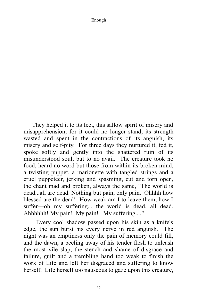They helped it to its feet, this sallow spirit of misery and misapprehension, for it could no longer stand, its strength wasted and spent in the contractions of its anguish, its misery and self-pity. For three days they nurtured it, fed it, spoke softly and gently into the shattered ruin of its misunderstood soul, but to no avail. The creature took no food, heard no word but those from within its broken mind, a twisting puppet, a marionette with tangled strings and a cruel puppeteer, jerking and spasming, cut and torn open, the chant mad and broken, always the same, "The world is dead...all are dead. Nothing but pain, only pain. Ohhhh how blessed are the dead! How weak am I to leave them, how I suffer—oh my suffering... the world is dead, all dead. Ahhhhhh! My pain! My pain! My suffering...."

 Every cool shadow passed upon his skin as a knife's edge, the sun burst his every nerve in red anguish. The night was an emptiness only the pain of memory could fill, and the dawn, a peeling away of his tender flesh to unleash the most vile slap, the stench and shame of disgrace and failure, guilt and a trembling hand too weak to finish the work of Life and left her disgraced and suffering to know herself. Life herself too nauseous to gaze upon this creature,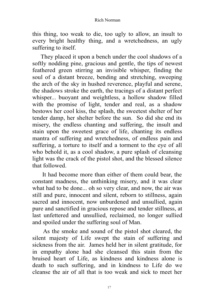this thing, too weak to die, too ugly to allow, an insult to every bright healthy thing, and a wretchedness, an ugly suffering to itself.

 They placed it upon a bench under the cool shadows of a softly nodding pine, gracious and gentle, the tips of newest feathered green stirring an invisible whisper, finding the soul of a distant breeze, bending and stretching, sweeping the arch of the sky in hushed reverence, playful and serene, the shadows stroke the earth, the tracings of a distant perfect whisper... buoyant and weightless, a hollow shadow filled with the promise of light, tender and real, as a shadow bestows her cool kiss, the splash, the sweetest shelter of her tender damp, her shelter before the sun. So did she end its misery, the endless chanting and suffering, the insult and stain upon the sweetest grace of life, chanting its endless mantra of suffering and wretchedness, of endless pain and suffering, a torture to itself and a torment to the eye of all who behold it, as a cool shadow, a pure splash of cleansing light was the crack of the pistol shot, and the blessed silence that followed.

 It had become more than either of them could bear, the constant madness, the unthinking misery, and it was clear what had to be done... oh so very clear, and now, the air was still and pure, innocent and silent, reborn to stillness, again sacred and innocent, now unburdened and unsullied, again pure and sanctified in gracious repose and tender stillness, at last unfettered and unsullied, reclaimed, no longer sullied and spoiled under the suffering soul of Man.

 As the smoke and sound of the pistol shot cleared, the silent majesty of Life swept the stain of suffering and sickness from the air. James held her in silent gratitude, for in empathy alone had she cleansed this stain from the bruised heart of Life, as kindness and kindness alone is death to such suffering, and in kindness to Life do we cleanse the air of all that is too weak and sick to meet her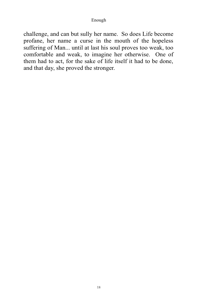challenge, and can but sully her name. So does Life become profane, her name a curse in the mouth of the hopeless suffering of Man... until at last his soul proves too weak, too comfortable and weak, to imagine her otherwise. One of them had to act, for the sake of life itself it had to be done, and that day, she proved the stronger.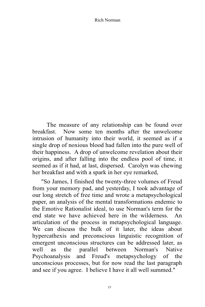The measure of any relationship can be found over breakfast. Now some ten months after the unwelcome intrusion of humanity into their world, it seemed as if a single drop of noxious blood had fallen into the pure well of their happiness. A drop of unwelcome revelation about their origins, and after falling into the endless pool of time, it seemed as if it had, at last, dispersed. Carolyn was chewing her breakfast and with a spark in her eye remarked,

 "So James, I finished the twenty-three volumes of Freud from your memory pad, and yesterday, I took advantage of our long stretch of free time and wrote a metapsychological paper, an analysis of the mental transformations endemic to the Emotive Rationalist ideal, to use Norman's term for the end state we have achieved here in the wilderness. An articulation of the process in metapsychological language. We can discuss the bulk of it later, the ideas about hypercathexis and preconscious linguistic recognition of emergent unconscious structures can be addressed later, as well as the parallel between Norman's Native Psychoanalysis and Freud's metapsychology of the unconscious processes, but for now read the last paragraph and see if you agree. I believe I have it all well summed."

19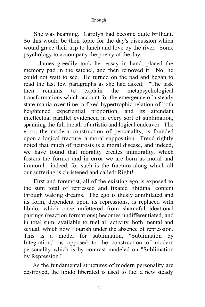She was beaming. Carolyn had become quite brilliant. So this would be their topic for the day's discussion which would grace their trip to lunch and love by the river. Some psychology to accompany the poetry of the day.

 James greedily took her essay in hand, placed the memory pad in the satchel, and then removed it. No, he could not wait to see. He turned on the pad and began to read the last few paragraphs as she had asked: "The task then remains to explain the metapsychological transformations which account for the emergence of a steady state mania over time, a fixed hypertrophic relation of both heightened experiential proportion, and its attendant intellectual parallel evidenced in every sort of sublimation, spanning the full breath of artistic and logical endeavor. The error, the modern construction of personality, is founded upon a logical fracture, a moral supposition. Freud rightly noted that much of neurosis is a moral disease, and indeed, we have found that morality creates immorality, which fosters the former and in error we are born as moral and immoral––indeed, for such is the fracture along which all our suffering is christened and called: Right!

 First and foremost, all of the existing ego is exposed to the sum total of repressed and fixated libidinal content through waking dreams. The ego is thusly annihilated and its form, dependent upon its repressions, is replaced with libido, which once unfettered from shameful ideational pairings (reaction formations) becomes undifferentiated, and in total sum, available to fuel all activity, both mental and sexual, which now flourish under the absence of repression. This is a model for sublimation, "Sublimation by Integration," as opposed to the construction of modern personality which is by contrast modeled on "Sublimation by Repression."

 As the fundamental structures of modern personality are destroyed, the libido liberated is used to fuel a new steady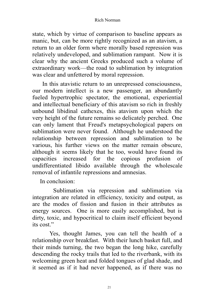state, which by virtue of comparison to baseline appears as manic, but, can be more rightly recognized as an atavism, a return to an older form where morally based repression was relatively undeveloped, and sublimation rampant. Now it is clear why the ancient Greeks produced such a volume of extraordinary work––the road to sublimation by integration was clear and unfettered by moral repression.

 In this atavistic return to an unrepressed consciousness, our modern intellect is a new passenger, an abundantly fueled hypertrophic spectator, the emotional, experiential and intellectual beneficiary of this atavism so rich in freshly unbound libidinal cathexes, this atavism upon which the very height of the future remains so delicately perched. One can only lament that Freud's metapsychological papers on sublimation were never found. Although he understood the relationship between repression and sublimation to be various, his further views on the matter remain obscure, although it seems likely that he too, would have found its capacities increased for the copious profusion of undifferentiated libido available through the wholescale removal of infantile repressions and amnesias.

In conclusion:

 Sublimation via repression and sublimation via integration are related in efficiency, toxicity and output, as are the modes of fission and fusion in their attributes as energy sources. One is more easily accomplished, but is dirty, toxic, and hypocritical to claim itself efficient beyond its cost"

 Yes, thought James, you can tell the health of a relationship over breakfast. With their lunch basket full, and their minds turning, the two began the long hike, carefully descending the rocky trails that led to the riverbank, with its welcoming green heat and folded tongues of glad shade, and it seemed as if it had never happened, as if there was no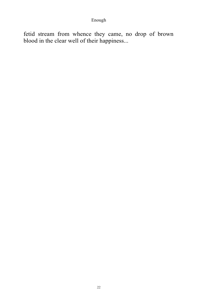fetid stream from whence they came, no drop of brown blood in the clear well of their happiness...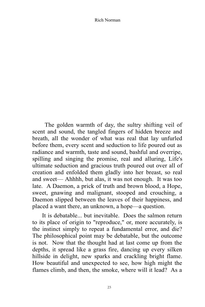The golden warmth of day, the sultry shifting veil of scent and sound, the tangled fingers of hidden breeze and breath, all the wonder of what was real that lay unfurled before them, every scent and seduction to life poured out as radiance and warmth, taste and sound, bashful and overripe, spilling and singing the promise, real and alluring, Life's ultimate seduction and gracious truth poured out over all of creation and enfolded them gladly into her breast, so real and sweet–– Ahhhh, but alas, it was not enough. It was too late. A Daemon, a prick of truth and brown blood, a Hope, sweet, gnawing and malignant, stooped and crouching, a Daemon slipped between the leaves of their happiness, and placed a want there, an unknown, a hope––a question.

 It is debatable... but inevitable. Does the salmon return to its place of origin to "reproduce," or, more accurately, is the instinct simply to repeat a fundamental error, and die? The philosophical point may be debatable, but the outcome is not. Now that the thought had at last come up from the depths, it spread like a grass fire, dancing up every silken hillside in delight, new sparks and crackling bright flame. How beautiful and unexpected to see, how high might the flames climb, and then, the smoke, where will it lead? As a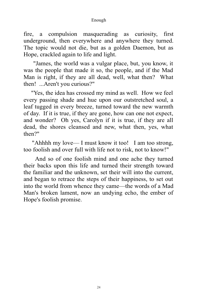fire, a compulsion masquerading as curiosity, first underground, then everywhere and anywhere they turned. The topic would not die, but as a golden Daemon, but as Hope, crackled again to life and light.

 "James, the world was a vulgar place, but, you know, it was the people that made it so, the people, and if the Mad Man is right, if they are all dead, well, what then? What then! ...Aren't you curious?"

 "Yes, the idea has crossed my mind as well. How we feel every passing shade and hue upon our outstretched soul, a leaf tugged in every breeze, turned toward the new warmth of day. If it is true, if they are gone, how can one not expect, and wonder? Oh yes, Carolyn if it is true, if they are all dead, the shores cleansed and new, what then, yes, what then?"

"Ahhhh my love—I must know it too! I am too strong, too foolish and over full with life not to risk, not to know!"

 And so of one foolish mind and one ache they turned their backs upon this life and turned their strength toward the familiar and the unknown, set their will into the current, and began to retrace the steps of their happiness, to set out into the world from whence they came––the words of a Mad Man's broken lament, now an undying echo, the ember of Hope's foolish promise.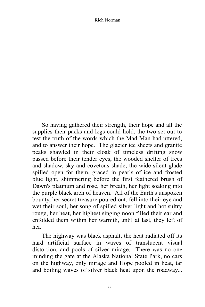So having gathered their strength, their hope and all the supplies their packs and legs could hold, the two set out to test the truth of the words which the Mad Man had uttered, and to answer their hope. The glacier ice sheets and granite peaks shawled in their cloak of timeless drifting snow passed before their tender eyes, the wooded shelter of trees and shadow, sky and covetous shade, the wide silent glade spilled open for them, graced in pearls of ice and frosted blue light, shimmering before the first feathered brush of Dawn's platinum and rose, her breath, her light soaking into the purple black arch of heaven. All of the Earth's unspoken bounty, her secret treasure poured out, fell into their eye and wet their soul, her song of spilled silver light and hot sultry rouge, her heat, her highest singing noon filled their ear and enfolded them within her warmth, until at last, they left of her.

 The highway was black asphalt, the heat radiated off its hard artificial surface in waves of translucent visual distortion, and pools of silver mirage. There was no one minding the gate at the Alaska National State Park, no cars on the highway, only mirage and Hope pooled in heat, tar and boiling waves of silver black heat upon the roadway...

25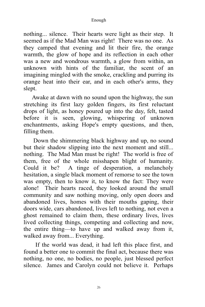nothing... silence. Their hearts were light as their step. It seemed as if the Mad Man was right! There was no one. As they camped that evening and lit their fire, the orange warmth, the glow of hope and its reflection in each other was a new and wondrous warmth, a glow from within, an unknown with hints of the familiar, the scent of an imagining mingled with the smoke, crackling and purring its orange heat into their ear, and in each other's arms, they slept.

 Awake at dawn with no sound upon the highway, the sun stretching its first lazy golden fingers, its first reluctant drops of light, as honey poured up into the day, felt, tasted before it is seen, glowing, whispering of unknown enchantments, asking Hope's empty questions, and then, filling them.

 Down the shimmering black highway and up, no sound but their shadow slipping into the next moment and still... nothing. The Mad Man must be right! The world is free of them, free of the whole misshapen blight of humanity. Could it be? A tinge of desperation, a melancholy hesitation, a single black moment of remorse to see the town was empty, then to know it, to know the fact: They were alone! Their hearts raced, they looked around the small community and saw nothing moving, only open doors and abandoned lives, homes with their mouths gaping, their doors wide, cars abandoned, lives left to nothing, not even a ghost remained to claim them, these ordinary lives, lives lived collecting things, competing and collecting and now, the entire thing––to have up and walked away from it, walked away from... Everything.

 If the world was dead, it had left this place first, and found a better one to commit the final act, because there was nothing, no one, no bodies, no people, just blessed perfect silence. James and Carolyn could not believe it. Perhaps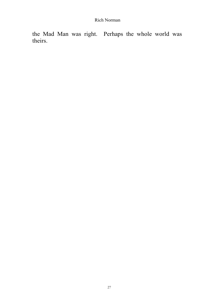the Mad Man was right. Perhaps the whole world was theirs.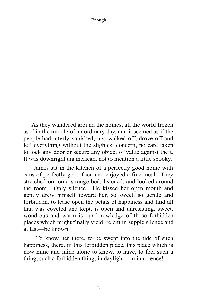As they wandered around the homes, all the world frozen as if in the middle of an ordinary day, and it seemed as if the people had utterly vanished, just walked off, drove off and left everything without the slightest concern, no care taken to lock any door or secure any object of value against theft. It was downright unamerican, not to mention a little spooky.

 James sat in the kitchen of a perfectly good home with cans of perfectly good food and enjoyed a fine meal. They stretched out on a strange bed, listened, and looked around the room. Only silence. He kissed her open mouth and gently drew himself toward her, so sweet, so gentle and forbidden, to tease open the petals of happiness and find all that was coveted and kept, is open and unresisting, sweet, wondrous and warm is our knowledge of those forbidden places which might finally yield, relent in supple silence and at last––be known.

 To know her there, to be swept into the tide of such happiness, there, in this forbidden place, this place which is now mine and mine alone to know, to have, to feel such a thing, such a forbidden thing, in daylight––in innocence!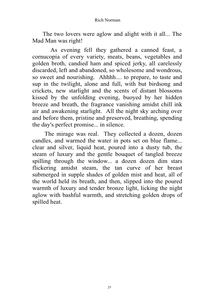The two lovers were aglow and alight with it all... The Mad Man was right!

 As evening fell they gathered a canned feast, a cornucopia of every variety, meats, beans, vegetables and golden broth, candied ham and spiced jerky, all carelessly discarded, left and abandoned, so wholesome and wondrous, so sweet and nourishing. Ahhhh.... to prepare, to taste and sup in the twilight, alone and full, with but birdsong and crickets, new starlight and the scents of distant blossoms kissed by the unfolding evening, buoyed by her hidden breeze and breath, the fragrance vanishing amidst chill ink air and awakening starlight. All the night sky arching over and before them, pristine and preserved, breathing, spending the day's perfect promise... in silence.

 The mirage was real. They collected a dozen, dozen candles, and warmed the water in pots set on blue flame... clear and silver, liquid heat, poured into a dusty tub, the steam of luxury and the gentle bouquet of tangled breeze spilling through the window... a dozen dozen dim stars flickering amidst steam, the tan curve of her breast submerged in supple shades of golden mist and heat, all of the world held its breath, and then, slipped into the poured warmth of luxury and tender bronze light, licking the night aglow with bashful warmth, and stretching golden drops of spilled heat.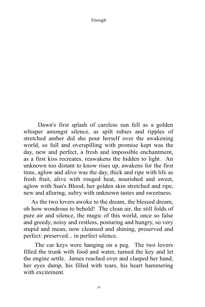Dawn's first splash of careless sun fell as a golden whisper amongst silence, as spilt rubies and ripples of stretched amber did she pour herself over the awakening world, so full and overspilling with promise kept was the day, new and perfect, a fresh and impossible enchantment, as a first kiss recreates, reawakens the hidden to light. An unknown too distant to know rises up, awakens for the first time, aglow and alive was the day, thick and ripe with life as fresh fruit, alive with rouged heat, nourished and sweet, aglow with Sun's Blood, her golden skin stretched and ripe, new and alluring, sultry with unknown tastes and sweetness.

 As the two lovers awoke to the dream, the blessed dream, oh how wondrous to behold! The clean air, the still folds of pure air and silence, the magic of this world, once so false and greedy, noisy and restless, posturing and hungry, so very stupid and mean, now cleansed and shining, preserved and perfect: preserved... in perfect silence.

 The car keys were hanging on a peg. The two lovers filled the trunk with food and water, turned the key and let the engine settle. James reached over and clasped her hand, her eyes damp, his filled with tears, his heart hammering with excitement.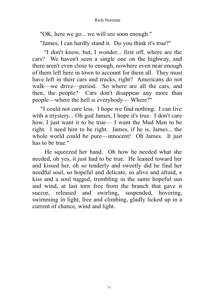"OK, here we go... we will see soon enough."

"James, I can hardly stand it. Do you think it's true?"

 "I don't know, but, I wonder... first off, where are the cars? We haven't seen a single one on the highway, and there aren't even close to enough, nowhere even near enough of them left here in town to account for them all. They must have left in their cars and trucks, right? Americans do not walk––we drive––period. So where are all the cars, and then, the people? Cars don't disappear any more than people––where the hell is everybody–– Where?"

 "I could not care less. I hope we find nothing. I can live with a mystery... Oh god James, I hope it's true. I don't care how, I just want it to be true— I want the Mad Man to be right. I need him to be right. James, if he is, James... the whole world could be pure—innocent! Oh James. It just has to be true."

 He squeezed her hand. Oh how he needed what she needed, oh yes, it just had to be true. He leaned toward her and kissed her, oh so tenderly and sweetly did he find her needful soul, so hopeful and delicate, so alive and afraid, a kiss and a soul tugged, trembling in the same hopeful sun and wind, at last torn free from the branch that gave it succor, released and swirling, suspended, hovering, swimming in light, free and climbing, gladly licked up in a current of chance, wind and light.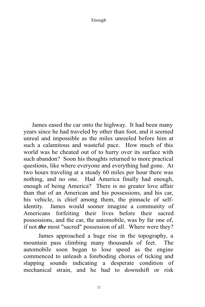James eased the car onto the highway. It had been many years since he had traveled by other than foot, and it seemed unreal and impossible as the miles unreeled before him at such a calamitous and wasteful pace. How much of this world was he cheated out of to hurry over its surface with such abandon? Soon his thoughts returned to more practical questions, like where everyone and everything had gone. At two hours traveling at a steady 60 miles per hour there was nothing, and no one. Had America finally had enough, enough of being America? There is no greater love affair than that of an American and his possessions, and his car, his vehicle, is chief among them, the pinnacle of selfidentity. James would sooner imagine a community of Americans forfeiting their lives before their sacred possessions, and the car, the automobile, was by far one of, if not *the* most "sacred" possession of all. Where were they?

 James approached a huge rise in the topography, a mountain pass climbing many thousands of feet. The automobile soon began to lose speed as the engine commenced to unleash a foreboding chorus of ticking and slapping sounds indicating a desperate condition of mechanical strain, and he had to downshift or risk

32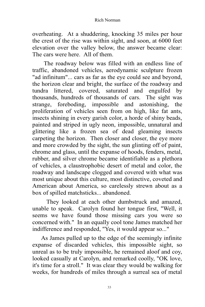overheating. At a shuddering, knocking 35 miles per hour the crest of the rise was within sight, and soon, at 6000 feet elevation over the valley below, the answer became clear: The cars were here. All of them.

 The roadway below was filled with an endless line of traffic, abandoned vehicles, aerodynamic sculpture frozen "ad infinitum"... cars as far as the eye could see and beyond, the horizon clear and bright, the surface of the roadway and tundra littered, covered, saturated and engulfed by thousands, hundreds of thousands of cars. The sight was strange, foreboding, impossible and astonishing, the proliferation of vehicles seen from on high, like fat ants, insects shining in every garish color, a horde of shiny beads, painted and striped in ugly neon, impossible, unnatural and glittering like a frozen sea of dead gleaming insects carpeting the horizon. Then closer and closer, the eye more and more crowded by the sight, the sun glinting off of paint, chrome and glass, until the expanse of hoods, fenders, metal, rubber, and silver chrome became identifiable as a plethora of vehicles, a claustrophobic desert of metal and color, the roadway and landscape clogged and covered with what was most unique about this culture, most distinctive, coveted and American about America, so carelessly strewn about as a box of spilled matchsticks... abandoned.

 They looked at each other dumbstruck and amazed, unable to speak. Carolyn found her tongue first, "Well, it seems we have found those missing cars you were so concerned with." In an equally cool tone James matched her indifference and responded, "Yes, it would appear so..."

 As James pulled up to the edge of the seemingly infinite expanse of discarded vehicles, this impossible sight, so unreal as to be truly impossible, he remained aloof and coy, looked casually at Carolyn, and remarked coolly, "OK love, it's time for a stroll." It was clear they would be walking for weeks, for hundreds of miles through a surreal sea of metal

33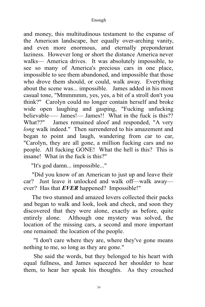and money, this multitudinous testament to the expanse of the American landscape, her equally over-arching vanity, and even more enormous, and eternally preponderant laziness. However long or short the distance America never walks–– America drives. It was absolutely impossible, to see so many of America's precious cars in one place, impossible to see them abandoned, and impossible that those who drove them should, or could, walk away. Everything about the scene was... impossible. James added in his most casual tone, "Mmmmmm, yes, yes, a bit of a stroll don't you think?" Carolyn could no longer contain herself and broke wide open laughing and gasping, "Fucking unfucking believable—– James!— James!! What in the fuck is this?? What??" James remained aloof and responded, "A very *long* walk indeed." Then surrendered to his amazement and began to point and laugh, wandering from car to car, "Carolyn, they are all gone, a million fucking cars and no people. All fucking GONE! What the hell is this? This is insane! What in the fuck is this?"

"It's god damn... impossible..."

 "Did you know of an American to just up and leave their car? Just leave it unlocked and walk off––walk away–– ever? Has that *EVER* happened? Impossible!"

 The two stunned and amazed lovers collected their packs and began to walk and look, look and check, and soon they discovered that they were alone, exactly as before, quite entirely alone. Although one mystery was solved, the location of the missing cars, a second and more important one remained: the location of the people.

 "I don't care where they are, where they've gone means nothing to me, so long as they are gone."

 She said the words, but they belonged to his heart with equal fullness, and James squeezed her shoulder to hear them, to hear her speak his thoughts. As they crouched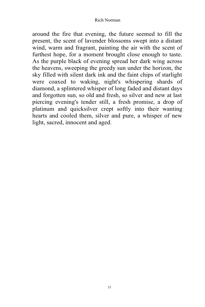around the fire that evening, the future seemed to fill the present, the scent of lavender blossoms swept into a distant wind, warm and fragrant, painting the air with the scent of furthest hope, for a moment brought close enough to taste. As the purple black of evening spread her dark wing across the heavens, sweeping the greedy sun under the horizon, the sky filled with silent dark ink and the faint chips of starlight were coaxed to waking, night's whispering shards of diamond, a splintered whisper of long faded and distant days and forgotten sun, so old and fresh, so silver and new at last piercing evening's tender still, a fresh promise, a drop of platinum and quicksilver crept softly into their wanting hearts and cooled them, silver and pure, a whisper of new light, sacred, innocent and aged.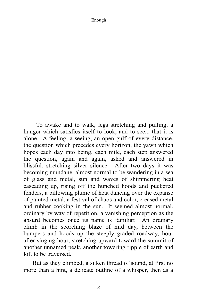To awake and to walk, legs stretching and pulling, a hunger which satisfies itself to look, and to see... that it is alone. A feeling, a seeing, an open gulf of every distance, the question which precedes every horizon, the yawn which hopes each day into being, each mile, each step answered the question, again and again, asked and answered in blissful, stretching silver silence. After two days it was becoming mundane, almost normal to be wandering in a sea of glass and metal, sun and waves of shimmering heat cascading up, rising off the hunched hoods and puckered fenders, a billowing plume of heat dancing over the expanse of painted metal, a festival of chaos and color, creased metal and rubber cooking in the sun. It seemed almost normal, ordinary by way of repetition, a vanishing perception as the absurd becomes once its name is familiar. An ordinary climb in the scorching blaze of mid day, between the bumpers and hoods up the steeply graded roadway, hour after singing hour, stretching upward toward the summit of another unnamed peak, another towering ripple of earth and loft to be traversed.

 But as they climbed, a silken thread of sound, at first no more than a hint, a delicate outline of a whisper, then as a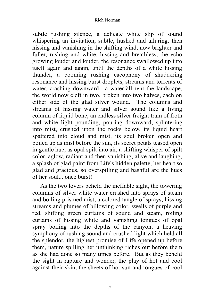subtle rushing silence, a delicate white slip of sound whispering an invitation, subtle, hushed and alluring, then hissing and vanishing in the shifting wind, now brighter and fuller, rushing and white, hissing and breathless, the echo growing louder and louder, the resonance swallowed up into itself again and again, until the depths of a white hissing thunder, a booming rushing cacophony of shuddering resonance and hissing burst droplets, streams and torrents of water, crashing downward—a waterfall rent the landscape, the world now cleft in two, broken into two halves, each on either side of the glad silver wound. The columns and streams of hissing water and silver sound like a living column of liquid bone, an endless silver freight train of froth and white light pounding, pouring downward, splintering into mist, crushed upon the rocks below, its liquid heart spattered into cloud and mist, its soul broken open and boiled up as mist before the sun, its secret petals teased open in gentle hue, as opal spilt into air, a shifting whisper of spilt color, aglow, radiant and then vanishing, alive and laughing, a splash of glad paint from Life's hidden palette, her heart so glad and gracious, so overspilling and bashful are the hues of her soul... once burst!

 As the two lovers beheld the ineffable sight, the towering columns of silver white water crushed into sprays of steam and boiling prismed mist, a colored tangle of sprays, hissing streams and plumes of billowing color, swells of purple and red, shifting green curtains of sound and steam, roiling curtains of hissing white and vanishing tongues of opal spray boiling into the depths of the canyon, a heaving symphony of rushing sound and crushed light which held all the splendor, the highest promise of Life opened up before them, nature spilling her unthinking riches out before them as she had done so many times before. But as they beheld the sight in rapture and wonder, the play of hot and cool against their skin, the sheets of hot sun and tongues of cool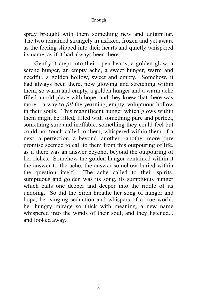spray brought with them something new and unfamiliar. The two remained strangely transfixed, frozen and yet aware as the feeling slipped into their hearts and quietly whispered its name, as if it had always been there.

 Gently it crept into their open hearts, a golden glow, a serene hunger, an empty ache, a sweet hunger, warm and needful, a golden hollow, sweet and empty. Somehow, it had always been there, now glowing and stretching within them, so warm and empty, a golden hunger and a warm ache filled an old place with hope, and they knew that there was more... a way to *fill* the yearning, empty, voluptuous hollow in their souls. This magnificent hunger which glows within them might be filled, filled with something pure and perfect, something sure and ineffable, something they could feel but could not touch called to them, whispered within them of a next, a perfection, a beyond, another––another more pure promise seemed to call to them from this outpouring of life, as if there was an answer beyond, beyond the outpouring of her riches. Somehow the golden hunger contained within it the answer to the ache, the answer somehow buried within the question itself. The ache called to their spirits, sumptuous and golden was its song, its sumptuous hunger which calls one deeper and deeper into the riddle of its undoing. So did the Siren breathe her song of hunger and hope, her singing seduction and whispers of a true world, her hungry mirage so thick with meaning, a new name whispered into the winds of their soul, and they listened... and looked away.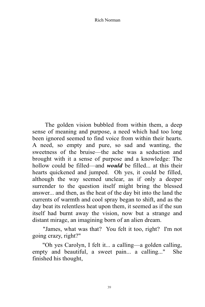The golden vision bubbled from within them, a deep sense of meaning and purpose, a need which had too long been ignored seemed to find voice from within their hearts. A need, so empty and pure, so sad and wanting, the sweetness of the bruise––the ache was a seduction and brought with it a sense of purpose and a knowledge: The hollow could be filled—and *would* be filled... at this their hearts quickened and jumped. Oh yes, it could be filled, although the way seemed unclear, as if only a deeper surrender to the question itself might bring the blessed answer... and then, as the heat of the day bit into the land the currents of warmth and cool spray began to shift, and as the day beat its relentless heat upon them, it seemed as if the sun itself had burnt away the vision, now but a strange and distant mirage, an imagining born of an alien dream.

 "James, what was that? You felt it too, right? I'm not going crazy, right?"

 "Oh yes Carolyn, I felt it... a calling––a golden calling, empty and beautiful, a sweet pain... a calling..." She finished his thought,

39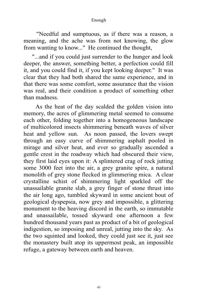"Needful and sumptuous, as if there was a reason, a meaning, and the ache was from not knowing, the glow from wanting to know..." He continued the thought,

 "...and if you could just surrender to the hunger and look deeper, the answer, something better, a perfection could fill it, and you could find it, if you kept looking deeper." It was clear that they had both shared the same experience, and in that there was some comfort, some assurance that the vision was real, and their condition a product of something other than madness.

 As the heat of the day scalded the golden vision into memory, the acres of glimmering metal seemed to consume each other, folding together into a homogeneous landscape of multicolored insects shimmering beneath waves of silver heat and yellow sun. As noon passed, the lovers swept through an easy curve of shimmering asphalt pooled in mirage and silver heat, and ever so gradually ascended a gentle crest in the roadway which had obscured their view, they first laid eyes upon it: A splintered crag of rock jutting some 3000 feet into the air, a grey granite spire, a natural monolith of grey stone flecked in glimmering mica. A clear crystalline schist of shimmering light sparkled off the unassailable granite slab, a grey finger of stone thrust into the air long ago, tumbled skyward in some ancient bout of geological dyspepsia, now grey and impossible, a glittering monument to the heaving discord in the earth, so immutable and unassailable, tossed skyward one afternoon a few hundred thousand years past as product of a bit of geological indigestion, so imposing and unreal, jutting into the sky. As the two squinted and looked, they could just see it, just see the monastery built atop its uppermost peak, an impossible refuge, a gateway between earth and heaven.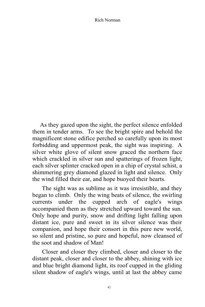As they gazed upon the sight, the perfect silence enfolded them in tender arms. To see the bright spire and behold the magnificent stone edifice perched so carefully upon its most forbidding and uppermost peak, the sight was inspiring. A silver white glove of silent snow graced the northern face which crackled in silver sun and spatterings of frozen light, each silver splinter cracked open in a chip of crystal schist, a shimmering grey diamond glazed in light and silence. Only the wind filled their ear, and hope buoyed their hearts.

 The sight was as sublime as it was irresistible, and they began to climb. Only the wing beats of silence, the swirling currents under the cupped arch of eagle's wings accompanied them as they stretched upward toward the sun. Only hope and purity, snow and drifting light falling upon distant ice, pure and sweet in its silver silence was their companion, and hope their consort in this pure new world, so silent and pristine, so pure and hopeful, now cleansed of the soot and shadow of Man!

 Closer and closer they climbed, closer and closer to the distant peak, closer and closer to the abbey, shining with ice and blue bright diamond light, its roof cupped in the gliding silent shadow of eagle's wings, until at last the abbey came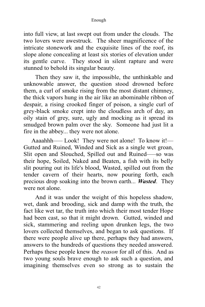into full view, at last swept out from under the clouds. The two lovers were awestruck. The sheer magnificence of the intricate stonework and the exquisite lines of the roof, its slope alone concealing at least six stories of elevation under its gentle curve. They stood in silent rapture and were stunned to behold its singular beauty.

 Then they saw it, the impossible, the unthinkable and unknowable answer, the question stood drowned before them, a curl of smoke rising from the most distant chimney, the thick vapors hung in the air like an abominable ribbon of despair, a rising crooked finger of poison, a single curl of grey-black smoke crept into the cloudless arch of day, an oily stain of grey, sure, ugly and mocking as it spread its smudged brown palm over the sky. Someone had just lit a fire in the abbey... they were not alone.

Aaaahhh—– Look! They were not alone! To know it!— Gutted and Ruined, Winded and Sick as a single wet groan, Slit open and Slouched, Spilled out and Ruined–––so was their hope, Soiled, Naked and Beaten, a fish with its belly slit pouring out its life's blood, Wasted, spilled out from the tender cavern of their hearts, now pouring forth, each precious drop soaking into the brown earth... *Wasted*. They were not alone.

 And it was under the weight of this hopeless shadow, wet, dank and brooding, sick and damp with the truth, the fact like wet tar, the truth into which their most tender Hope had been cast, so that it might drown. Gutted, winded and sick, stammering and reeling upon drunken legs, the two lovers collected themselves, and began to ask questions. If there were people alive up there, perhaps they had answers, answers to the hundreds of questions they needed answered. Perhaps these people knew the *reason* for all of this. And as two young souls brave enough to ask such a question, and imagining themselves even so strong as to sustain the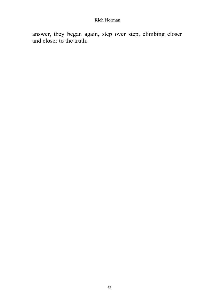answer, they began again, step over step, climbing closer and closer to the truth.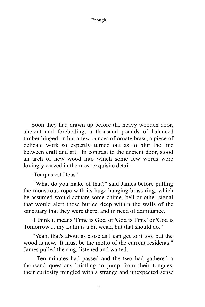Soon they had drawn up before the heavy wooden door, ancient and foreboding, a thousand pounds of balanced timber hinged on but a few ounces of ornate brass, a piece of delicate work so expertly turned out as to blur the line between craft and art. In contrast to the ancient door, stood an arch of new wood into which some few words were lovingly carved in the most exquisite detail:

"Tempus est Deus"

 "What do you make of that?" said James before pulling the monstrous rope with its huge hanging brass ring, which he assumed would actuate some chime, bell or other signal that would alert those buried deep within the walls of the sanctuary that they were there, and in need of admittance.

 "I think it means 'Time is God' or 'God is Time' or 'God is Tomorrow'... my Latin is a bit weak, but that should do."

 "Yeah, that's about as close as I can get to it too, but the wood is new. It must be the motto of the current residents." James pulled the ring, listened and waited.

 Ten minutes had passed and the two had gathered a thousand questions bristling to jump from their tongues, their curiosity mingled with a strange and unexpected sense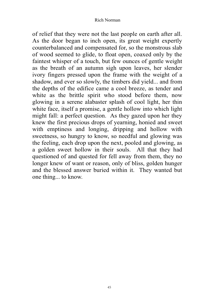of relief that they were not the last people on earth after all. As the door began to inch open, its great weight expertly counterbalanced and compensated for, so the monstrous slab of wood seemed to glide, to float open, coaxed only by the faintest whisper of a touch, but few ounces of gentle weight as the breath of an autumn sigh upon leaves, her slender ivory fingers pressed upon the frame with the weight of a shadow, and ever so slowly, the timbers did yield... and from the depths of the edifice came a cool breeze, as tender and white as the brittle spirit who stood before them, now glowing in a serene alabaster splash of cool light, her thin white face, itself a promise, a gentle hollow into which light might fall: a perfect question. As they gazed upon her they knew the first precious drops of yearning, honied and sweet with emptiness and longing, dripping and hollow with sweetness, so hungry to know, so needful and glowing was the feeling, each drop upon the next, pooled and glowing, as a golden sweet hollow in their souls. All that they had questioned of and quested for fell away from them, they no longer knew of want or reason, only of bliss, golden hunger and the blessed answer buried within it. They wanted but one thing... to know.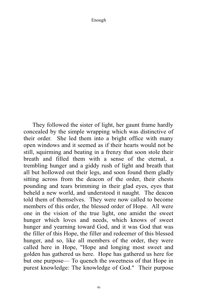They followed the sister of light, her gaunt frame hardly concealed by the simple wrapping which was distinctive of their order. She led them into a bright office with many open windows and it seemed as if their hearts would not be still, squirming and beating in a frenzy that soon stole their breath and filled them with a sense of the eternal, a trembling hunger and a giddy rush of light and breath that all but hollowed out their legs, and soon found them gladly sitting across from the deacon of the order, their chests pounding and tears brimming in their glad eyes, eyes that beheld a new world, and understood it naught. The deacon told them of themselves. They were now called to become members of this order, the blessed order of Hope. All were one in the vision of the true light, one amidst the sweet hunger which loves and needs, which knows of sweet hunger and yearning toward God, and it was God that was the filler of this Hope, the filler and redeemer of this blessed hunger, and so, like all members of the order, they were called here in Hope, "Hope and longing most sweet and golden has gathered us here. Hope has gathered us here for but one purpose–– To quench the sweetness of that Hope in purest knowledge: The knowledge of God." Their purpose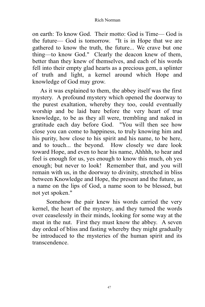on earth: To know God. Their motto: God is Time–– God is the future–– God is tomorrow. "It is in Hope that we are gathered to know the truth, the future... We crave but one thing––to know God." Clearly the deacon knew of them, better than they knew of themselves, and each of his words fell into their empty glad hearts as a precious gem, a splinter of truth and light, a kernel around which Hope and knowledge of God may grow.

 As it was explained to them, the abbey itself was the first mystery. A profound mystery which opened the doorway to the purest exaltation, whereby they too, could eventually worship and be laid bare before the very heart of true knowledge, to be as they all were, trembling and naked in gratitude each day before God. "You will then see how close you can come to happiness, to truly knowing him and his purity, how close to his spirit and his name, to be here, and to touch... the beyond. How closely we dare look toward Hope, and even to hear his name, Ahhhh, to hear and feel is enough for us, yes enough to know this much, oh yes enough; but never to look! Remember that, and you will remain with us, in the doorway to divinity, stretched in bliss between Knowledge and Hope, the present and the future, as a name on the lips of God, a name soon to be blessed, but not yet spoken."

 Somehow the pair knew his words carried the very kernel, the heart of the mystery, and they turned the words over ceaselessly in their minds, looking for some way at the meat in the nut. First they must know the abbey. A seven day ordeal of bliss and fasting whereby they might gradually be introduced to the mysteries of the human spirit and its transcendence.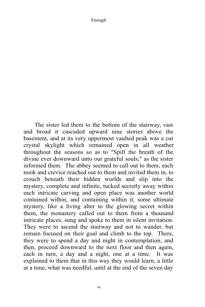The sister led them to the bottom of the stairway, vast and broad it cascaded upward nine stories above the basement, and at its very uppermost vaulted peak was a cut crystal skylight which remained open in all weather throughout the seasons so as to "Spill the breath of the divine ever downward unto our grateful souls," as the sister informed them. The abbey seemed to call out to them, each nook and crevice reached out to them and invited them in, to crouch beneath their hidden worlds and slip into the mystery, complete and infinite, tucked secretly away within each intricate carving and open place was another world contained within, and containing within it, some ultimate mystery, like a living alter to the glowing secret within them, the monastery called out to them from a thousand intricate places, sung and spoke to them in silent invitation. They were to ascend the stairway and not to wander, but remain focused on their goal and climb to the top. There, they were to spend a day and night in contemplation, and then, proceed downward to the next floor and then again, each in turn, a day and a night, one at a time. It was explained to them that in this way they would learn, a little at a time, what was needful, until at the end of the seven day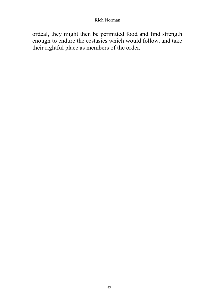ordeal, they might then be permitted food and find strength enough to endure the ecstasies which would follow, and take their rightful place as members of the order.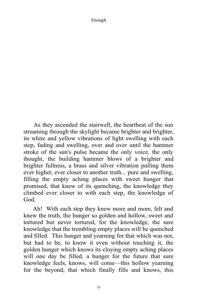As they ascended the stairwell, the heartbeat of the sun streaming through the skylight became brighter and brighter, its white and yellow vibrations of light swelling with each step, fading and swelling, over and over until the hammer stroke of the sun's pulse became the only voice, the only thought, the building hammer blows of a brighter and brighter fullness, a brass and silver vibration pulling them ever higher, ever closer to another truth... pure and swelling, filling the empty aching places with sweet hunger that promised, that knew of its quenching, the knowledge they climbed ever closer to with each step, the knowledge of God.

 Ah! With each step they knew more and more, felt and knew the truth, the hunger so golden and hollow, sweet and tortured but never tortured, for the knowledge, the sure knowledge that the trembling empty places will be quenched and filled. This hunger and yearning for that which was not, but had to be, to know it even without touching it, the golden hunger which knows its cloying empty aching places will one day be filled, a hunger for the future that sure knowledge feels, knows, will come––this hollow yearning for the beyond, that which finally fills and knows, this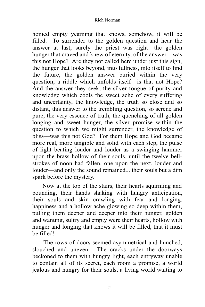honied empty yearning that knows, somehow, it will be filled. To surrender to the golden question and hear the answer at last, surely the priest was right––the golden hunger that craved and knew of eternity, of the answer—was this not Hope? Are they not called here under just this sign, the hunger that looks beyond, into fullness, into itself to find the future, the golden answer buried within the very question, a riddle which unfolds itself––is that not Hope? And the answer they seek, the silver tongue of purity and knowledge which cools the sweet ache of every suffering and uncertainty, the knowledge, the truth so close and so distant, this answer to the trembling question, so serene and pure, the very essence of truth, the quenching of all golden longing and sweet hunger, the silver promise within the question to which we might surrender, the knowledge of bliss––was this not God? For them Hope and God became more real, more tangible and solid with each step, the pulse of light beating louder and louder as a swinging hammer upon the brass hollow of their souls, until the twelve bellstrokes of noon had fallen, one upon the next, louder and louder—and only the sound remained... their souls but a dim spark before the mystery.

 Now at the top of the stairs, their hearts squirming and pounding, their hands shaking with hungry anticipation, their souls and skin crawling with fear and longing, happiness and a hollow ache glowing so deep within them, pulling them deeper and deeper into their hunger, golden and wanting, sultry and empty were their hearts, hollow with hunger and longing that knows it will be filled, that it must be filled!

 The rows of doors seemed asymmetrical and hunched, slouched and uneven. The cracks under the doorways beckoned to them with hungry light, each entryway unable to contain all of its secret, each room a promise, a world jealous and hungry for their souls, a living world waiting to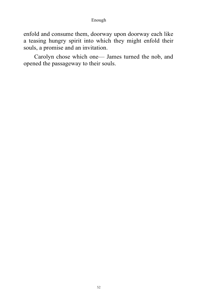enfold and consume them, doorway upon doorway each like a teasing hungry spirit into which they might enfold their souls, a promise and an invitation.

Carolyn chose which one— James turned the nob, and opened the passageway to their souls.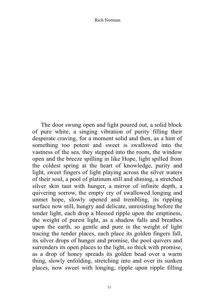The door swung open and light poured out, a solid block of pure white, a singing vibration of purity filling their desperate craving, for a moment solid and then, as a hint of something too potent and sweet is swallowed into the vastness of the sea, they stepped into the room, the window open and the breeze spilling in like Hope, light spilled from the coldest spring at the heart of knowledge, purity and light, sweet fingers of light playing across the silver waters of their soul, a pool of platinum still and shining, a stretched silver skin taut with hunger, a mirror of infinite depth, a quivering sorrow, the empty cry of swallowed longing and unmet hope, slowly opened and trembling, its rippling surface now still, hungry and delicate, unresisting before the tender light, each drop a blessed ripple upon the emptiness, the weight of purest light, as a shadow falls and breathes upon the earth, so gentle and pure is the weight of light tracing the tender places, each place its golden fingers fall, its silver drops of hunger and promise, the pool quivers and surrenders its open places to the light, so thick with promise, as a drop of honey spreads its golden bead over a warm thing, slowly enfolding, stretching into and over its sunken places, now sweet with longing, ripple upon ripple filling

53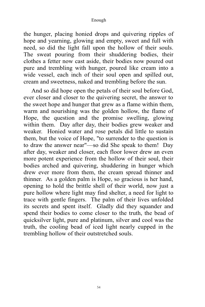the hunger, placing honied drops and quivering ripples of hope and yearning, glowing and empty, sweet and full with need, so did the light fall upon the hollow of their souls. The sweat pouring from their shuddering bodies, their clothes a fetter now cast aside, their bodies now poured out pure and trembling with hunger, poured like cream into a wide vessel, each inch of their soul open and spilled out, cream and sweetness, naked and trembling before the sun.

 And so did hope open the petals of their soul before God, ever closer and closer to the quivering secret, the answer to the sweet hope and hunger that grew as a flame within them, warm and nourishing was the golden hollow, the flame of Hope, the question and the promise swelling, glowing within them. Day after day, their bodies grew weaker and weaker. Honied water and rose petals did little to sustain them, but the voice of Hope, "to surrender to the question is to draw the answer near"––so did She speak to them! Day after day, weaker and closer, each floor lower drew an even more potent experience from the hollow of their soul, their bodies arched and quivering, shuddering in hunger which drew ever more from them, the cream spread thinner and thinner. As a golden palm is Hope, so gracious is her hand, opening to hold the brittle shell of their world, now just a pure hollow where light may find shelter, a need for light to trace with gentle fingers. The palm of their lives unfolded its secrets and spent itself. Gladly did they squander and spend their bodies to come closer to the truth, the bead of quicksilver light, pure and platinum, silver and cool was the truth, the cooling bead of iced light nearly cupped in the trembling hollow of their outstretched souls.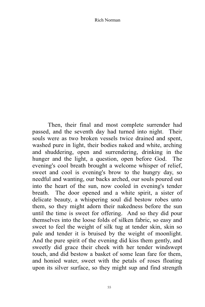Then, their final and most complete surrender had passed, and the seventh day had turned into night. Their souls were as two broken vessels twice drained and spent, washed pure in light, their bodies naked and white, arching and shuddering, open and surrendering, drinking in the hunger and the light, a question, open before God. The evening's cool breath brought a welcome whisper of relief, sweet and cool is evening's brow to the hungry day, so needful and wanting, our backs arched, our souls poured out into the heart of the sun, now cooled in evening's tender breath. The door opened and a white spirit, a sister of delicate beauty, a whispering soul did bestow robes unto them, so they might adorn their nakedness before the sun until the time is sweet for offering. And so they did pour themselves into the loose folds of silken fabric, so easy and sweet to feel the weight of silk tug at tender skin, skin so pale and tender it is bruised by the weight of moonlight. And the pure spirit of the evening did kiss them gently, and sweetly did grace their cheek with her tender windswept touch, and did bestow a basket of some lean fare for them, and honied water, sweet with the petals of roses floating upon its silver surface, so they might sup and find strength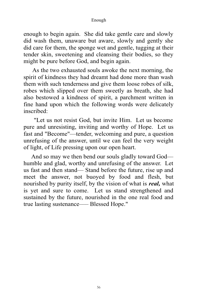enough to begin again. She did take gentle care and slowly did wash them, unaware but aware, slowly and gently she did care for them, the sponge wet and gentle, tugging at their tender skin, sweetening and cleansing their bodies, so they might be pure before God, and begin again.

 As the two exhausted souls awoke the next morning, the spirit of kindness they had dreamt had done more than wash them with such tenderness and give them loose robes of silk, robes which slipped over them sweetly as breath, she had also bestowed a kindness of spirit, a parchment written in fine hand upon which the following words were delicately inscribed:

 "Let us not resist God, but invite Him. Let us become pure and unresisting, inviting and worthy of Hope. Let us fast and "Become"––tender, welcoming and pure, a question unrefusing of the answer, until we can feel the very weight of light, of Life pressing upon our open heart.

And so may we then bend our souls gladly toward God humble and glad, worthy and unrefusing of the answer. Let us fast and then stand–– Stand before the future, rise up and meet the answer, not buoyed by food and flesh, but nourished by purity itself, by the vision of what is *real,* what is yet and sure to come. Let us stand strengthened and sustained by the future, nourished in the one real food and true lasting sustenance—– Blessed Hope."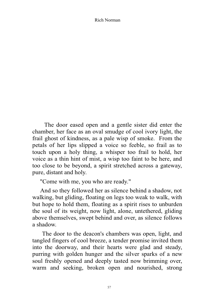The door eased open and a gentle sister did enter the chamber, her face as an oval smudge of cool ivory light, the frail ghost of kindness, as a pale wisp of smoke. From the petals of her lips slipped a voice so feeble, so frail as to touch upon a holy thing, a whisper too frail to hold, her voice as a thin hint of mist, a wisp too faint to be here, and too close to be beyond, a spirit stretched across a gateway, pure, distant and holy.

"Come with me, you who are ready."

 And so they followed her as silence behind a shadow, not walking, but gliding, floating on legs too weak to walk, with but hope to hold them, floating as a spirit rises to unburden the soul of its weight, now light, alone, untethered, gliding above themselves, swept behind and over, as silence follows a shadow.

 The door to the deacon's chambers was open, light, and tangled fingers of cool breeze, a tender promise invited them into the doorway, and their hearts were glad and steady, purring with golden hunger and the silver sparks of a new soul freshly opened and deeply tasted now brimming over, warm and seeking, broken open and nourished, strong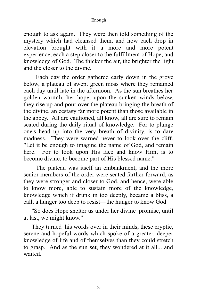enough to ask again. They were then told something of the mystery which had cleansed them, and how each drop in elevation brought with it a more and more potent experience, each a step closer to the fulfillment of Hope, and knowledge of God. The thicker the air, the brighter the light and the closer to the divine.

 Each day the order gathered early down in the grove below, a plateau of swept green moss where they remained each day until late in the afternoon. As the sun breathes her golden warmth, her hope, upon the sunken winds below, they rise up and pour over the plateau bringing the breath of the divine, an ecstasy far more potent than those available in the abbey. All are cautioned, all know, all are sure to remain seated during the daily ritual of knowledge. For to plunge one's head up into the very breath of divinity, is to dare madness. They were warned never to look over the cliff, "Let it be enough to imagine the name of God, and remain here. For to look upon His face and know Him, is to become divine, to become part of His blessed name."

 The plateau was itself an embankment, and the more senior members of the order were seated farther forward, as they were stronger and closer to God, and hence, were able to know more, able to sustain more of the knowledge, knowledge which if drunk in too deeply, became a bliss, a call, a hunger too deep to resist––the hunger to know God.

 "So does Hope shelter us under her divine promise, until at last, we might know."

 They turned his words over in their minds, these cryptic, serene and hopeful words which spoke of a greater, deeper knowledge of life and of themselves than they could stretch to grasp. And as the sun set, they wondered at it all... and waited.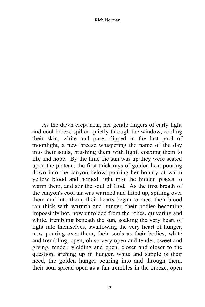As the dawn crept near, her gentle fingers of early light and cool breeze spilled quietly through the window, cooling their skin, white and pure, dipped in the last pool of moonlight, a new breeze whispering the name of the day into their souls, brushing them with light, coaxing them to life and hope. By the time the sun was up they were seated upon the plateau, the first thick rays of golden heat pouring down into the canyon below, pouring her bounty of warm yellow blood and honied light into the hidden places to warm them, and stir the soul of God. As the first breath of the canyon's cool air was warmed and lifted up, spilling over them and into them, their hearts began to race, their blood ran thick with warmth and hunger, their bodies becoming impossibly hot, now unfolded from the robes, quivering and white, trembling beneath the sun, soaking the very heart of light into themselves, swallowing the very heart of hunger, now pouring over them, their souls as their bodies, white and trembling, open, oh so very open and tender, sweet and giving, tender, yielding and open, closer and closer to the question, arching up in hunger, white and supple is their need, the golden hunger pouring into and through them, their soul spread open as a fan trembles in the breeze, open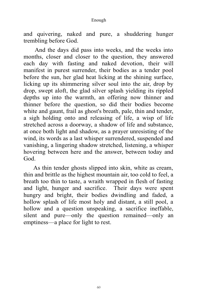and quivering, naked and pure, a shuddering hunger trembling before God.

 And the days did pass into weeks, and the weeks into months, closer and closer to the question, they answered each day with fasting and naked devotion, their will manifest in purest surrender, their bodies as a tender pool before the sun, her glad heat licking at the shining surface, licking up its shimmering silver soul into the air, drop by drop, swept aloft, the glad silver splash yielding its rippled depths up into the warmth, an offering now thinner and thinner before the question, so did their bodies become white and gaunt, frail as ghost's breath, pale, thin and tender, a sigh holding onto and releasing of life, a wisp of life stretched across a doorway, a shadow of life and substance, at once both light and shadow, as a prayer unresisting of the wind, its words as a last whisper surrendered, suspended and vanishing, a lingering shadow stretched, listening, a whisper hovering between here and the answer, between today and God.

 As thin tender ghosts slipped into skin, white as cream, thin and brittle as the highest mountain air, too cold to feel, a breath too thin to taste, a wraith wrapped in flesh of fasting and light, hunger and sacrifice. Their days were spent hungry and bright, their bodies dwindling and faded, a hollow splash of life most holy and distant, a still pool, a hollow and a question unspeaking, a sacrifice ineffable, silent and pure—only the question remained—only an emptiness––a place for light to rest.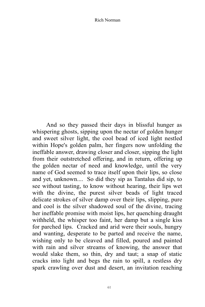And so they passed their days in blissful hunger as whispering ghosts, sipping upon the nectar of golden hunger and sweet silver light, the cool bead of iced light nestled within Hope's golden palm, her fingers now unfolding the ineffable answer, drawing closer and closer, sipping the light from their outstretched offering, and in return, offering up the golden nectar of need and knowledge, until the very name of God seemed to trace itself upon their lips, so close and yet, unknown.... So did they sip as Tantalus did sip, to see without tasting, to know without hearing, their lips wet with the divine, the purest silver beads of light traced delicate strokes of silver damp over their lips, slipping, pure and cool is the silver shadowed soul of the divine, tracing her ineffable promise with moist lips, her quenching draught withheld, the whisper too faint, her damp but a single kiss for parched lips. Cracked and arid were their souls, hungry and wanting, desperate to be parted and receive the name, wishing only to be cleaved and filled, poured and painted with rain and silver streams of knowing, the answer that would slake them, so thin, dry and taut; a snap of static cracks into light and begs the rain to spill, a restless dry spark crawling over dust and desert, an invitation reaching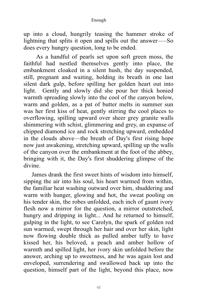up into a cloud, hungrily teasing the hammer stroke of lightning that splits it open and spills out the answer–––So does every hungry question, long to be ended.

 As a handful of pearls set upon soft green moss, the faithful had nestled themselves gently into place, the embankment cloaked in a silent hush, the day suspended, still, pregnant and waiting, holding its breath in one last silent dark gulp, before spilling her golden heart out into light. Gently and slowly did she pour her thick honied warmth spreading slowly into the cool of the canyon below, warm and golden, as a pat of butter melts in summer sun was her first kiss of heat, gently stirring the cool places to overflowing, spilling upward over sheer grey granite walls shimmering with schist, glimmering and grey, an expanse of chipped diamond ice and rock stretching upward, embedded in the clouds above––the breath of Day's first rising hope now just awakening, stretching upward, spilling up the walls of the canyon over the embankment at the foot of the abbey, bringing with it, the Day's first shuddering glimpse of the divine.

 James drank the first sweet hints of wisdom into himself, sipping the air into his soul, his heart warmed from within, the familiar heat washing outward over him, shuddering and warm with hunger, glowing and hot, the sweat pooling on his tender skin, the robes unfolded, each inch of gaunt ivory flesh now a mirror for the question, a mirror outstretched, hungry and dripping in light... And he returned to himself, gulping in the light, to see Carolyn, the spark of golden red sun warmed, swept through her hair and over her skin, light now flowing double thick as pulled amber taffy to have kissed her, his beloved, a peach and amber hollow of warmth and spilled light, her ivory skin unfolded before the answer, arching up to sweetness, and he was again lost and enveloped, surrendering and swallowed back up into the question, himself part of the light, beyond this place, now